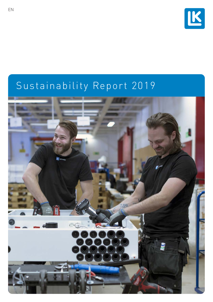

# Sustainability Report 2019

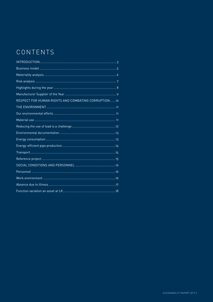# CONTENTS

| RESPECT FOR HUMAN RIGHTS AND COMBATING CORRUPTION10 |
|-----------------------------------------------------|
|                                                     |
|                                                     |
|                                                     |
|                                                     |
|                                                     |
|                                                     |
|                                                     |
|                                                     |
|                                                     |
|                                                     |
|                                                     |
|                                                     |
|                                                     |
|                                                     |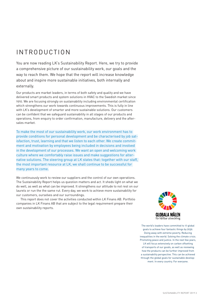# <span id="page-2-0"></span>INTRODUCTION

You are now reading LK's Sustainability Report. Here, we try to provide a comprehensive picture of our sustainability work, our goals and the way to reach them. We hope that the report will increase knowledge about and inspire more sustainable initiatives, both internally and externally.

Our products are market leaders, in terms of both safety and quality and we have delivered smart products and system solutions in HVAC to the Swedish market since 1910. We are focusing strongly on sustainability including environmental certification which strengthens our work towards continuous improvements. This is fully in line with LK's development of smarter and more sustainable solutions. Our customers can be confident that we safeguard sustainability in all stages of our products and operations, from enquiry to order confirmation, manufacture, delivery and the aftersales market.

To make the most of our sustainability work, our work environment has to provide conditions for personal development and be characterised by job satisfaction, trust, learning and that we listen to each other. We create commitment and motivation by employees being included in decisions and involved in the development of our processes. We want an open and welcoming work culture where we comfortably raise issues and make suggestions for alternative solutions. The steering group at LK states that: together with our staff, the most important resource at LK, we shall continue to be successful for many years to come.

We continuously work to review our suppliers and the control of our own operations. The Sustainability Report helps us question matters and act. It sheds light on what we do well, as well as what can be improved. It strengthens our attitude to not rest on our laurels or run the the same rut. Every day, we work to achieve more sustainability for our customers, ourselves and our surroundings.

This report does not cover the activities conducted within LK Finans AB. Portfolio companies in LK Finans AB that are subject to the legal requirement prepare their own sustainability reports.



The world's leaders have committed to 17 global goals to achieve four fantastic things by 2030. Doing away with extreme poverty. Reducing inequalities in the world. Solving the climate crisis. Promoting peace and justice. In the next few years, LK will focus extensively on carbon offsetting of transports of our goods, as well as reviewing how the products can be further improved from a sustainability perspective. This can be achieved through the global goals for sustainable development. In every country. For everyone.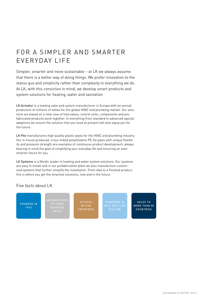# FOR A SIMPLER AND SMARTER EVERYDAY LIFE

Simpler, smarter and more sustainable – at LK we always assume that there is a better way of doing things. We prefer innovation to the status quo and simplicity rather than complexity in everything we do. At LK, with this conviction in mind, we develop smart products and system solutions for heating, water and sanitation

LK Armatur is a leading valve and system manufacturer in Europe with an annual production of millions of valves for the global HVAC and plumbing market. Our solutions are based on a total view of how valves, control units, components and prefabricated products work together. In everything from standard to advanced special adaptions we ensure the solution that you need at present will also equip you for the future.

LK Pex manufactures high quality plastic pipes for the HVAC and plumbing industry. Our in-house produced, cross-linked polyethylene PE-Xa pipes with unique flexibility and pressure strength are examples of continuous product development, always bearing in mind the goal of simplifying your everyday life and ensuring an even smarter future for you.

LK Systems is a Nordic leader in heating and water system solutions. Our systems are easy to install and in our prefabrication plant we also manufacture customised systems that further simplify the installation. From idea to a finished product, this is where you get the smartest solutions, now and in the future.

### Five facts about LK

FOUNDED IN 1910

400 EMPLOYEES

IN FIVE **COUNTRIES**  MILLION

SALES TO MORE THAN 50 COUNTRIES

SUSTAINABILITY REPORT 2019 4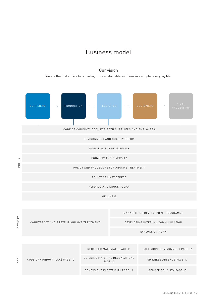### Business model

### Our vision

We are the first choice for smarter, more sustainable solutions in a simpler everyday life.

<span id="page-4-0"></span>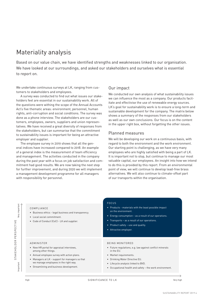### <span id="page-5-0"></span>Materiality analysis

Based on our value chain, we have identified strengths and weaknesses linked to our organisation. We have looked at our surroundings, and asked our stakeholders and ourselves what is essential to report on.

We undertake continuous surveys at LK, ranging from customers to stakeholders and employees.

A survey was conducted to find out what issues our stakeholders feel are essential in our sustainability work. All of the questions were withing the scope of the Annual Accounts Act's five thematic areas: environment, personnel, human rights, anti-corruption and social conditions. The survey was done as a phone interview. The stakeholders are our customers, employees, owners, suppliers and union representatives. We have received a great diversity of responses from the stakeholders, but can summarise that the commitment to sustainability issues is important for being an attractive employer and supplier.

The employee survey in 2019 shows that all the general indices have increased compared to 2018. An example of a general index is the measurement of team efficiency and management. The activities conducted in the company during the past year with a focus on job satisfaction and commitment had good results. We are now taking the next step for further improvement, and during 2020 we will implement a management development programme for all managers with responsibility for personnel.

### Our impact

We conducted our own analysis of what sustainability issues we can influence the most as a company. Our products facilitate and effectivise the use of renewable energy sources. LK's goal for sustainability work is to ensure a long-term and sustainable development for the company. The matrix below shows a summary of the responses from our stakeholders as well as our own conclusions. Our focus is on the content in the upper right box, without forgetting the other issues.

### Planned measures

We will be developing our work on a continuous basis, with regard to both the environment and the work environment. Our starting point is challenging, as we have very many employees who are highly satisfied with being a part of LK. It is important not to stop, but continue to manage our most valuable capital, our employees. An insight into how we intend to do this is provided by this report. From an environmental point of view, we will continue to develop lead-free brass alternatives. We will also continue to climate-offset part of our transports within the organisation.

### COMPLIANCE

Very important

Very important

Important

STAKEHOLDER PERSPECTIVE

STAKEHOLDER PERSPECTIVE

- Business ethics legal business and transparency.
- Local social commitment.
- Code of Conduct (CoC) LK and supplier.

### FOCUS

- Products materials with the least possible impact on the environment.
- Energy consumption as a result of our operations.
- Transports as a result of our operations.
- Product safety use and quality.
- Attractive employer.

### ADMINISTER

- New HR portal for appraisal interviews, among other things.
- Annual employee survey with action plans.
- Managers at LK support for managers so that we manage employees in the right way.
- Streamlining and business development.

### BEING MONITORED

- Future regulations, e.g. law against conflict minerals in the EU.
- Market requirements.
- Drinking Water Directive EU.
- Lifecycle analysis linked to BVD.
- Occupational health and safety the work environment.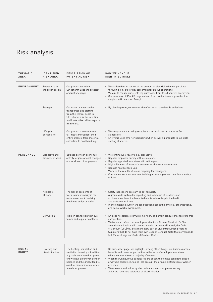# <span id="page-6-0"></span>Risk analysis

| <b>THEMATIC</b><br>AREA | <b>IDENTIFIED</b><br><b>RISK AREA</b> | <b>DESCRIPTION OF</b><br>POTENTIAL RISK                                                                                                                                                                                       | <b>HOW WE HANDLE</b><br><b>IDENTIFIED RISKS</b>                                                                                                                                                                                                                                                                                                                                                                                                                                                      |
|-------------------------|---------------------------------------|-------------------------------------------------------------------------------------------------------------------------------------------------------------------------------------------------------------------------------|------------------------------------------------------------------------------------------------------------------------------------------------------------------------------------------------------------------------------------------------------------------------------------------------------------------------------------------------------------------------------------------------------------------------------------------------------------------------------------------------------|
| ENVIRONMENT             | Energy use in<br>the organisation     | Our production unit in<br>Ulricehamn uses the greatest<br>amount of energy.                                                                                                                                                   | • We achieve better control of the amount of electricity that we purchase<br>through a joint electricity agreement for all our operations.<br>• We aim to reduce our electricity purchases from fossil sources every year.<br>• Our company LK Pex AB recycles heat from production and provides the<br>surplus to Ulricehamn Energi.                                                                                                                                                                |
|                         | Transport                             | Our material needs to be<br>transported and starting<br>from the central depot in<br>Ulricehamn it is the intention<br>to climate offset all transports<br>from there.                                                        | • By planting trees, we counter the effect of carbon dioxide emissions.                                                                                                                                                                                                                                                                                                                                                                                                                              |
|                         | Lifecycle<br>perspective              | Our products' environmen-<br>tal impact throughout their<br>entire lifecycle from material<br>extraction to final handling.                                                                                                   | • We always consider using recycled materials in our products as far<br>as possible.<br>• LK Prefab uses smarter packaging when delivering products to facilitate<br>sorting at source.                                                                                                                                                                                                                                                                                                              |
| PERSONNEL               | Sick leave and<br>sickness at work    | Balance between economic<br>activity, organisational changes<br>and workload of employees.                                                                                                                                    | • We continuously follow up all sick leave.<br>Regular employee survey with action plans.<br>$\bullet$<br>• Regular appraisal interviews with action plan.<br>• High utilisation of Avonova's services for the work environment.<br>• Regular health check-ups.<br>• Work on the results of stress mapping for managers.<br>• Continuous work environment training for managers and health and safety<br>officers.                                                                                   |
|                         | Accidents<br>at work                  | The risk of accidents at<br>work exists primarily in the<br>warehouse, work involving<br>machines and production.                                                                                                             | • Safety inspections are carried out regularly.<br>• A group-wide system for reporting and follow-up of incidents and<br>accidents has been implemented and is followed-up in the health<br>and safety committees.<br>• In the employee survey, we ask questions about the physical, organisational<br>and social work environment.                                                                                                                                                                  |
|                         | Corruption                            | Risks in connection with cus-<br>tomer and supplier contacts.                                                                                                                                                                 | • LK does not tolerate corruption, bribery and unfair conduct that restricts free<br>competition.<br>• We train and inform our employees about our Code of Conduct (CoC) on<br>a continuous basis and in connection with our new HR portal, the Code<br>of Conduct (CoC) will be a mandatory part of LK's introduction program.<br>• Suppliers that do not have their own Code of Conduct (CoC) that corresponds<br>to LK's must sign our Code of Conduct (CoC).                                     |
| HUMAN<br><b>RIGHTS</b>  | Diversity and<br>discrimination       | The heating, ventilation and<br>sanitation industry is tradition-<br>ally male dominated. At pres-<br>ent we have an uneven gender<br>balance and this might lead to<br>a risk of discrimination for our<br>female employees. | • On our career page, we highlight, among other things, our business areas,<br>benefits and career opportunities in the form of employee interviews,<br>where we interviewed a majority of women.<br>• When recruiting, if two candidates are equal, the female candidate should<br>always be prioritised, taking into account the group's distribution of women<br>and men.<br>• We measure and follow up discrimination in our employee survey.<br>At LK we have zero tolerance of discrimination. |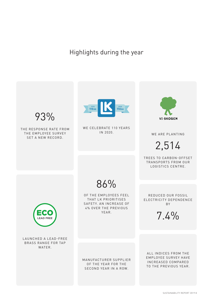Highlights during the year

<span id="page-7-0"></span>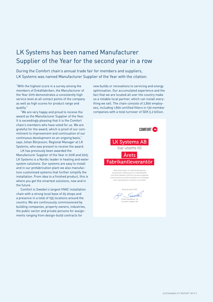## <span id="page-8-0"></span>LK Systems has been named Manufacturer Supplier of the Year for the second year in a row

During the Comfort chain's annual trade fair for members and suppliers, LK Systems was named Manufacturer Supplier of the Year with the citation:

"With the highest score in a survey among the members of Enkätfabriken, the Manufacturer of the Year 2019 demonstrates a consistently high service level at all contact points of the company as well as high scores for product range and quality."

"We are very happy and proud to receive the award as the Manufacturer Supplier of the Year. It is exceedingly pleasing that it is the Comfort chain's members who have voted for us. We are grateful for the award, which is proof of our commitment to improvement and continuation of our continuous development on an ongoing basis," says Johan Börjesson, Regional Manager at LK Systems, who was present to receive the award.

LK has previously been awarded the Manufacturer Supplier of the Year in 2018 and 2015. LK Systems is a Nordic leader in heating and water system solutions. Our systems are easy to install and in our prefabrication plant we also manufacture customised systems that further simplify the installation. From idea to a finished product, this is where you get the smartest solutions, now and in the future.

Comfort is Sweden's largest HVAC installation chain with a strong local base of 65 shops and a presence in a total of 155 locations around the country. We are continuously commissioned by building companies, property owners, industries, the public sector and private persons for assignments ranging from design-build contracts for

new builds or renovations to servicing and energy optimisation. Our accumulated experience and the fact that we are located all over the country make us a reliable local partner, which can install everything we sell. The chain consists of 2,800 employees, including 1,800 certified fitters in 130 member companies with a total turnover of SEK 5.2 billion.



Göran Swedérus, vd Comfort-kedjan AB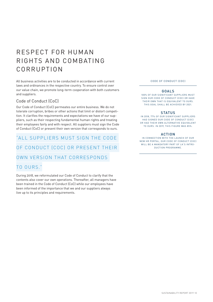# <span id="page-9-0"></span>RESPECT FOR HUMAN RIGHTS AND COMBATING CORRUPTION

All business activities are to be conducted in accordance with current laws and ordinances in the respective country. To ensure control over our value chain, we promote long-term cooperation with both customers and suppliers.

### Code of Conduct (CoC)

Our Code of Conduct (CoC) permeates our entire business. We do not tolerate corruption, bribes or other actions that limit or distort competition. It clarifies the requirements and expectations we have of our suppliers, such as their respecting fundamental human rights and treating their employees fairly and with respect. All suppliers must sign the Code of Conduct (CoC) or present their own version that corresponds to ours.

# "ALL SUPPLIERS MUST SIGN THE CODE OF CONDUCT (COC) OR PRESENT THEIR OWN VERSION THAT CORRESPONDS

### TO OURS."

During 2018, we reformulated our Code of Conduct to clarify that the contents also cover our own operations. Thereafter, all managers have been trained in the Code of Conduct (CoC) while our employees have been informed of the importance that we and our suppliers always live up to its principles and requirements.

CODE OF CONDUCT (COC)

### GOALS

100% OF OUR SIGNIFICANT SUPPLIERS MUST SIGN OUR CODE OF CONDUCT (COC) OR HAVE THEIR OWN THAT IS EQUIVALENT TO OURS. THIS GOAL SHALL BE ACHIEVED BY 2021.

### **STATUS**

IN 2018, 77% OF OUR SIGNIFICANT SUPPLIERS HAD SIGNED OUR CODE OF CONDUCT (COC) OR HAD THEIR OWN ALTERNATIVE EQUIVALENT TO OURS. IN 2019, THIS FIGURE WAS 85%.

### ACTION

IN CONNECTION WITH THE LAUNCH OF OUR NEW HR PORTAL, OUR CODE OF CONDUCT (COC) WILL BE A MANDATORY PART OF LK'S INTRO-DUCTION PROGRAMME.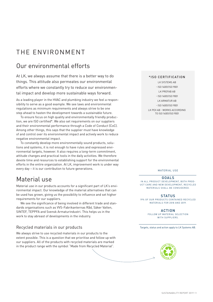# <span id="page-10-0"></span>THE ENVIRONMENT

### Our environmental efforts

At LK, we always assume that there is a better way to do things. This attitude also permeates our environmental efforts where we constantly try to reduce our environmental impact and develop more sustainable ways forward.

As a leading player in the HVAC and plumbing industry we feel a responsibility to serve as a good example. We see laws and environmental regulations as minimum requirements and always strive to be one step ahead to hasten the development towards a sustainable future.

To ensure focus on high quality and environmentally friendly production, we are ISO certified\*. We also set requirements on our suppliers and their environmental performance through a Code of Conduct (CoC). Among other things, this says that the supplier must have knowledge of and control over its environmental impact and actively work to reduce negative environmental impact.

To constantly develop more environmentally sound products, solutions and systems, it is not enough to have rules and expressed environmental targets, however. It also requires a long-term commitment, attitude changes and practical tools in the daily activities. We therefore devote time and resources to establishing support for the environmental efforts in the entire organization. At LK, improvement work is under way every day – it is our contribution to future generations.

### Material use

Material use in our products accounts for a significant part of LK's environmental impact. Our knowledge of the material alternatives that can be used has grown, giving us the possibility to influence and set higher requirements for our suppliers.

We see the significance of being involved in different trade and standards organisations such as VVS-Fabrikanternas Råd, Säker Vatten, SINTEF, TEPPFA and Svensk Armaturindustri. This helps us in the work to stay abreast of developments in the industry.

### Recycled materials in our products

We always strive to use recycled materials in our products to the extent possible. This is a question that we prioritise and follow up with our suppliers. All of the products with recycled materials are marked in the product range with the symbol "Made from Recycled Material".

### \*ISO CERTIFICATION

### LK SYSTEMS AB

- ISO 14001/ISO 9001
- LK PREFAB AB
- ISO 14001/ISO 9001
- LK ARMATUR AB
- $-$  ISO 14001/ISO 9001
- LK PEX AB WORKS ACCORDING TO ISO 14001/ISO 9001

### MATERIAL USE

GOALS IN ALL PRODUCT DEVELOPMENT, BOTH PROD-UCT CARE AND NEW DEVELOPMENT, RECYCLED MATERIALS SHALL BE CONSIDERED.

#### **STATUS**

19% OF OUR PRODUCTS CONTAINED RECYCLED MATERIALS FOR 2018 AND 2019.

> ACTION FOLLOW UP MATERIAL SELECTION WITH SUPPLIERS.

Targets, status and action apply to LK Systems AB.

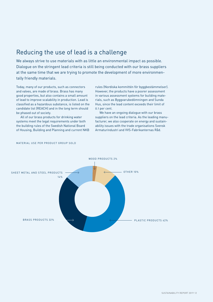### <span id="page-11-0"></span>Reducing the use of lead is a challenge

We always strive to use materials with as little an environmental impact as possible. Dialogue on the stringent lead criteria is still being conducted with our brass suppliers at the same time that we are trying to promote the development of more environmentally friendly materials.

Today, many of our products, such as connectors and valves, are made of brass. Brass has many good properties, but also contains a small amount of lead to improve scalability in production. Lead is classified as a hazardous substance, is listed on the candidate list (REACH) and in the long term should be phased out of society.

All of our brass products for drinking water systems meet the legal requirements under both the building rules of the Swedish National Board of Housing, Building and Planning and current NKB rules (Nordiska kommittén för byggbestämmelser). However, the products have a poorer assessment in various assessment systems for building materials, such as Byggvarubedömningen and Sunda Hus, since the lead content exceeds their limit of 0.1 per cent.

We have an ongoing dialogue with our brass suppliers on the lead criteria. As the leading manufacturer, we also cooperate on energy and sustainability issues with the trade organisations Svensk Armaturindustri and VVS-Fabrikanternas Råd.



### MATERIAL USE PER PRODUCT GROUP SOLD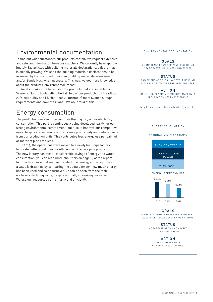### <span id="page-12-0"></span>Environmental documentation

To find out what substances our products contain, we request extensive and relevant information from our suppliers. We currently have approximately 830 articles with building materials declarations, a figure that is steadily growing. We send the building materials declarations to be assessed by Byggvarubedömningen (building materials assessment) and/or Sunda Hus, when necessary. This way, we get more knowledge about the products' environmental impact.

We also make sure to register the products that are suitable for Svanen's Nordic Ecolabelling Portal. Two of our products (LK Heatfloor 22 V-belt pulley and LK Heatfloor 22 turntable) meet Svanen's tough requirements and have their label. We are proud of this!

### Energy consumption

The production units in LK account for the majority of our electricity consumption. This part is continuously being developed, partly for our strong environmental commitment, but also to improve our competitiveness. Targets are set annually to increase productivity and reduce waste from our production units. This contributes less energy use per cabinet or meter of pipe produced.

In 2014, the operations were moved to a newly built pipe factory to create better conditions for efficient world-class pipe production. The new factory has meant considerable savings of energy and water consumption; you can read more about this on page 13 of the report. In order to ensure that we use our electrical energy in the right way, a value is drawn up by comparing the quota between how much energy has been used and sales turnover. As can be seen from the table, we have a declining value, despite annually increasing our sales. We use our resources both smartly and efficiently.

#### ENVIRONMENTAL DOCUMENTATION

#### GOALS

AN INCREASE OF 7% PER YEAR (EXCLUDING SPARE PARTS, MACHINERY AND TOOLS).

#### **STATUS**

35% OF OUR ARTICLES HAVE BVD. THIS IS AN INCREASE OF 10% OVER THE PREVIOUS YEAR.

#### ACTION

CONTINUOUSLY SUBMIT BUILDING MATERIALS DECLARATIONS FOR ASSESSMENT.

Targets, status and action apply to LK Systems AB.

### ENERGY CONSUMPTION

### RESIDUAL MIX ELECTRICITY



GOALS

LK SHALL ELIMINATE DEPENDENCE ON FOSSIL ELECTRICITY BY AT LEAST 5% PER ANNUM.

> **STATUS** A DECREASE OF 7.4% COMPARED TO PREVIOUS YEAR.

> > ACTION

JOINT AGREEMENTS AND JOINT NEGOTIATIONS.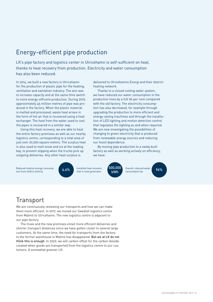### <span id="page-13-0"></span>Energy-efficient pipe production

LK's pipe factory and logistics center in Ulricehamn is self-sufficient on heat, thanks to heat recovery from production. Electricity and water consumption has also been reduced.

In 2014, we built a new factory in Ulricehamn for the production of plastic pipe for the heating, ventilation and sanitation industry. The aim was to increase capacity and at the same time switch to more energy-efficient production. During 2019, approximately 45 million metres of pipe was produced in the factory. When the plastic material is melted and processed, waste heat arises in the form of hot air that is recovered using a heat exchanger. The heat from the water used to cool the pipes is recovered in a similar way.

Using this heat recovery, we are able to heat the entire factory premises as well as our nearby logistics centre, corresponding to a total area of just over 20,000 square meters. The surplus heat is also used to melt snow and ice at the loading bay, to prevent slipping when the trucks pick up outgoing deliveries. Any other heat surplus is

Reduced relative energy consump-<br>tion from 2018 to 2019 by **4.6%** that in total generates kan all consumption by



Installed heat recovery that in total generates

we have:



our fossil dependence.

heating network.

consumption by

By moving pipe production to a newly built factory as well as working actively on efficiency,

delivered to Ulricehamns Energi and their district

Thanks to a closed cooling water system, we have reduced our water consumption in the production lines by a full 96 per cent compared with the old factory. The electricity consumption has also decreased, for example through upgrading the production to more efficient and energy-saving machines and through the installation of LED lighting and motion detection control that regulates the lighting as and when required. We are now investigating the possibilities of changing to green electricity that is produced from renewable energy sources and reducing

### **Transport**

We are continuously reviewing our transports and how we can make them more efficient. In 2017, we moved our Swedish logistics centre from Malmö to Ulricehamn. The new logistics centre is adjacent to our pipe factory.

The move and the new premises entail more efficient deliveries and shorter transport distances since we have gotten closer to several large customers. At the same time, the need for transports from the factory to the former warehouse in Malmö has disappeared. But we at LK do not think this is enough. In 2020, we will carbon offset for the carbon dioxide created when goods are transported from the logistics centre to our customers. A somewhat greener LK.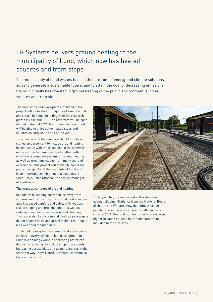# <span id="page-14-0"></span>LK Systems delivers ground heating to the municipality of Lund, which now has heated squares and tram stops

The municipality of Lund wishes to be in the forefront of energy and climate solutions, so as to generate a sustainable future, and to attain the goal of decreasing emissions the municipality has invested in ground heating of the public environment, such as squares and tram stops.

The nine stops and two squares included in the project will be heated through fossil free residual and return heating, including from the research plants MAX IV and ESS. The new tram will be operational in August 2020, but the residents of Lund will be able to enjoy some heated stops and squares as early as the end of the year.

"Kraftringen and the municipality of Lund have signed an agreement to include ground heating in connection with the expansion of the tramway and we chose to complete this together with LK who have a complete system for ground heating as well as great knowledge from many years of experience. This project will make life easier for public transport and the residents of Lund and is an important contribution to a sustainable Lund", says Peter Ottosson the project manager at Kraftringen.

### The many advantages of ground heating

In addition to keeping snow and ice away from squares and tram stops, the ground heat also creates increased comfort and safety with reduced risk of slipping and broken bones\* as well as reducing need for snow removal and cleaning. Trams are also kept clean and fresh as passengers do not deposit snow and gravel inside, resulting in less wear and maintenance.

"It should be easy to make smart and sustainable choices in everyday life. Urban development in Lund is a shining example of creating better conditions by reducing the risk of slipping accidents, increasing accessibility and using resources in the smartest way," says Henrik Abraham, communications officer at LK.



\* Every winter, the media and authorities warn against slipping. Statistics from the National Board of Health and Welfare show that almost 18,000 people received specialist care for falls on ice or snow in 2017. The total number of sufferers is even higher because patients in primary care are not included in the statistics.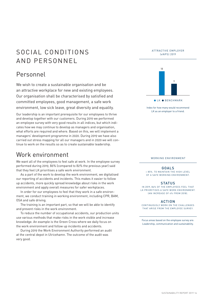# <span id="page-15-0"></span>SOCIAL CONDITIONS AND PERSONNEL

### Personnel

We wish to create a sustainable organisation and be an attractive workplace for new and existing employees. Our organisation shall be characterised by satisfied and committed employees, good management, a safe work environment, low sick leave, great diversity and equality.

Our leadership is an important prerequisite for our employees to thrive and develop together with our customers. During 2019 we performed an employee survey with very good results in all indices, but which indicates how we may continue to develop as managers and organisation, what efforts are required and where. Based on this, we will implement a managers' development programme in 2020. During 2019 we have also carried out stress mapping for all our managers and in 2020 we will continue to work on the results so as to create sustainable leadership.

### Work environment

We want all of the employees to feel safe at work. In the employee survey performed during 2019, 86% (compared to 82% the previous year) said that they feel LK prioritises a safe work environment.

As a part of the work to develop the work environment, we digitalised our reporting of accidents and incidents. This makes it easier to follow up accidents, more quickly spread knowledge about risks in the work environment and apply overall measures for safer workplaces.

In order for our employees to feel that they work in a safe environment, we conduct training in working environment, including CPR, BAM, OSA and safe driving.

The training is an important part, so that we will be able to identify and prevent risks in the work environment.

To reduce the number of occupational accidents, our production units use various methods that make risks in the work visible and increase knowledge. An example is the Green Cross where we daily focus on the work environment and follow up incidents and accidents.

During 2019 the Work Environment Authority performed an audit at the central depot in Ulricehamn. The outcome of the audit was very good.





Index for how many would recommend LK as an employer to a friend.

#### WORKING ENVIRONMENT

### GOALS

> 85%. TO MAINTAIN THE HIGH LEVEL OF A SAFE WORKING ENVIRONMENT.

#### **STATUS**

IN 2019, 86% OF THE EMPLOYEES FEEL THAT LK PRIORITISES A SAFE WORK ENVIRONMENT. (AN INCREASE OF 4% FROM 2018).

### ACTION

CONTINUOUSLY WORK ON THE CHALLENGES THAT ARISE FROM THE EMPLOYEE SURVEY.

Focus areas based on the employee survey are: Leadership, communication and sustainability.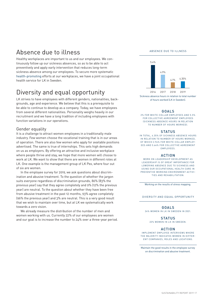### <span id="page-16-0"></span>Absence due to illness

Healthy workplaces are important to us and our employees. We continuously follow up our sickness absences, so as to be able to act preventively and apply early intervention that reduces long-term sickness absence among our employees. To secure more systematic health-promoting efforts at our workplaces, we have a joint occupational health service for LK in Sweden.

### Diversity and equal opportunity

LK strives to have employees with different genders, nationalities, backgrounds, age and experience. We believe that this is a prerequisite to be able to continue to develop as a company. Today, we have employees from several different nationalities. Personality weighs heavily in our recruitment and we have a long tradition of including employees with function variations in our operations.

### Gender equality

It is a challenge to attract women employees in a traditionally male industry. Few women choose the vocational training that is in our areas of operation. There are also few women who apply for available positions advertised. The same is true of internships. This sets high demands on us as employers. By offering an attractive and inclusive workplace where people thrive and stay, we hope that more women will choose to work at LK. We want to show that there are women in different roles at LK. One example is the management group of LK Pex, where four out of six are women.

In the employee survey for 2019, we ask questions about discrimination and abusive treatment. To the question of whether the jargon suits everyone regardless of discrimination grounds, 86% (83% the previous year) say that they agree completely and 9% (12% the previous year) are neutral. To the question about whether they have been free from abusive treatment in the past 12 months, 93% agree completely (96% the previous year) and 3% are neutral. This is a very good result that we wish to maintain over time, but at LK we systematically work towards a zero vision.

We already measure the distribution of the number of men and women working with us. Currently 22% of our employees are women and our goal is to increase the number to 24% over a three-year period.

#### ABSENCE DUE TO ILLNESS



Sickness absence hours in relation to total number of hours worked (LK in Sweden).

### GOALS

2% FOR WHITE-COLLAR EMPLOYEES AND 5.5% FOR COLLECTIVE AGREEMENT EMPLOYEES (SICKNESS ABSENCE HOURS IN RELATION TO NUMBER OF HOURS WORKED).

### **STATUS**

IN TOTAL, 4.35% OF SICKNESS ABSENCE HOURS IN RELATION TO NUMBER OF HOURS WORKED, OF WHICH 2.94% FOR WHITE-COLLAR EMPLOY-EES AND 5.64% FOR COLLECTIVE AGREEMENT EMPLOYEES.

### ACTION

WORK ON LEADERSHIP DEVELOPMENT AS LEADERSHIP IS OF GREAT IMPORTANCE FOR LOWERING ABSENCE DUE TO SICKNESS AND USING OUR OCCUPATIONAL HEALTH CARE IN PREVENTIVE WORKING ENVIRONMENT ACTIVI-TIES AND REHABILITATION.

Working on the results of stress mapping.

#### DIVERSITY AND EQUAL OPPORTUNITY

#### GOALS

24% WOMEN IN LK IN SWEDEN IN 2021.

#### **STATUS**

22% WOMEN IN LK IN SWEDEN.

### ACTION

IMPLEMENT EMPLOYEE INTERVIEWS WHERE THE MAJORITY INDICATES WOMEN IN DIFFER-ENT COMPANIES, ROLES AND LOCATIONS.

Maintain the good results in the employee survey on discrimination and abusive treatment.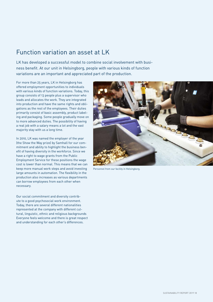### <span id="page-17-0"></span>Function variation an asset at LK

LK has developed a successful model to combine social involvement with business benefit. At our unit in Helsingborg, people with various kinds of function variations are an important and appreciated part of the production.

For more than 25 years, LK in Helsingborg has offered employment opportunities to individuals with various kinds of function variations. Today, this group consists of 13 people plus a supervisor who leads and allocates the work. They are integrated into production and have the same rights and obligations as the rest of the employees. Their duties primarily consist of basic assembly, product labeling and packaging. Some people gradually move on to more advanced duties. The possibility of having a real job with a salary means a lot and the vast majority stay with us a long time.

In 2010, LK was named the employer of the year (the Show the Way prize) by Samhall for our commitment and ability to highlight the business benefit of having diversity in the workforce. Since we have a right to wage grants from the Public Employment Service for these positions the wage cost is lower than normal. This means that we can keep more manual work steps and avoid investing large amounts in automation. The flexibility in the production also increases as various departments can borrow employees from each other when necessary.

Our social commitment and diversity contribute to a good psychosocial work environment. Today, there are several different nationalities represented at the company with different cultural, linguistic, ethnic and religious backgrounds Everyone feels welcome and there is great respect and understanding for each other's differences.



Personnel from our facility in Helsingborg.